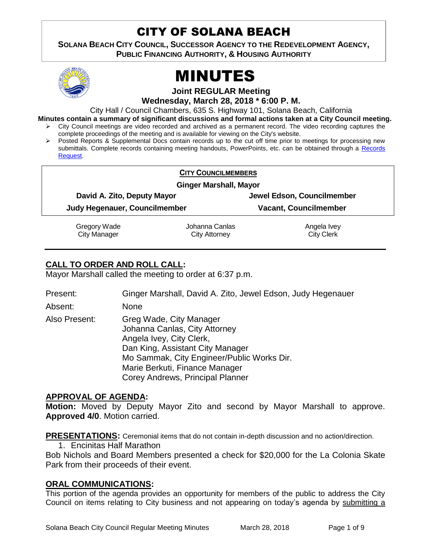# CITY OF SOLANA BEACH

**SOLANA BEACH CITY COUNCIL, SUCCESSOR AGENCY TO THE REDEVELOPMENT AGENCY, PUBLIC FINANCING AUTHORITY, & HOUSING AUTHORITY** 



# MINUTES

**Joint REGULAR Meeting**

**Wednesday, March 28, 2018 \* 6:00 P. M.**

City Hall / Council Chambers, 635 S. Highway 101, Solana Beach, California

**Minutes contain a summary of significant discussions and formal actions taken at a City Council meeting.**

- $\triangleright$  City Council meetings are video recorded and archived as a permanent record. The video recording captures the complete proceedings of the meeting and is available for viewing on the City's website.
- Posted Reports & Supplemental Docs contain records up to the cut off time prior to meetings for processing new submittals. Complete records containing meeting handouts, PowerPoints, etc. can be obtained through a Records [Request.](http://www.ci.solana-beach.ca.us/index.asp?SEC=F5D45D10-70CE-4291-A27C-7BD633FC6742&Type=B_BASIC)

| <b>CITY COUNCILMEMBERS</b>          |                                        |                                  |
|-------------------------------------|----------------------------------------|----------------------------------|
| <b>Ginger Marshall, Mayor</b>       |                                        |                                  |
| David A. Zito, Deputy Mayor         |                                        | Jewel Edson, Councilmember       |
| Judy Hegenauer, Councilmember       |                                        | <b>Vacant, Councilmember</b>     |
| Gregory Wade<br><b>City Manager</b> | Johanna Canlas<br><b>City Attorney</b> | Angela Ivey<br><b>City Clerk</b> |

## **CALL TO ORDER AND ROLL CALL:**

Mayor Marshall called the meeting to order at 6:37 p.m.

Present: Ginger Marshall, David A. Zito, Jewel Edson, Judy Hegenauer

Absent: None

Also Present: Greg Wade, City Manager Johanna Canlas, City Attorney Angela Ivey, City Clerk, Dan King, Assistant City Manager Mo Sammak, City Engineer/Public Works Dir. Marie Berkuti, Finance Manager Corey Andrews, Principal Planner

## **APPROVAL OF AGENDA:**

**Motion:** Moved by Deputy Mayor Zito and second by Mayor Marshall to approve. **Approved 4/0**. Motion carried.

**PRESENTATIONS:** Ceremonial items that do not contain in-depth discussion and no action/direction.

1. Encinitas Half Marathon

Bob Nichols and Board Members presented a check for \$20,000 for the La Colonia Skate Park from their proceeds of their event.

## **ORAL COMMUNICATIONS:**

This portion of the agenda provides an opportunity for members of the public to address the City Council on items relating to City business and not appearing on today's agenda by submitting a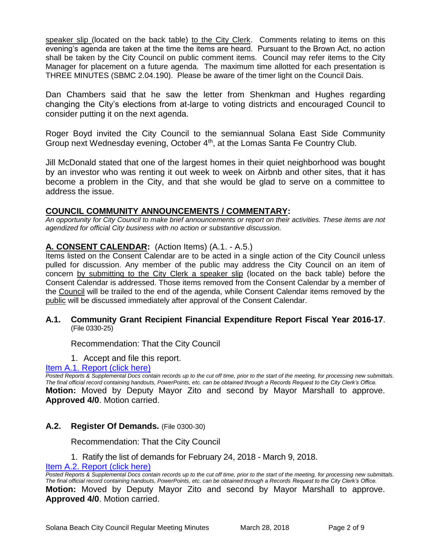speaker slip (located on the back table) to the City Clerk. Comments relating to items on this evening's agenda are taken at the time the items are heard. Pursuant to the Brown Act, no action shall be taken by the City Council on public comment items. Council may refer items to the City Manager for placement on a future agenda. The maximum time allotted for each presentation is THREE MINUTES (SBMC 2.04.190). Please be aware of the timer light on the Council Dais.

Dan Chambers said that he saw the letter from Shenkman and Hughes regarding changing the City's elections from at-large to voting districts and encouraged Council to consider putting it on the next agenda.

Roger Boyd invited the City Council to the semiannual Solana East Side Community Group next Wednesday evening, October 4<sup>th</sup>, at the Lomas Santa Fe Country Club.

Jill McDonald stated that one of the largest homes in their quiet neighborhood was bought by an investor who was renting it out week to week on Airbnb and other sites, that it has become a problem in the City, and that she would be glad to serve on a committee to address the issue.

## **COUNCIL COMMUNITY ANNOUNCEMENTS / COMMENTARY:**

*An opportunity for City Council to make brief announcements or report on their activities. These items are not agendized for official City business with no action or substantive discussion.* 

## **A. CONSENT CALENDAR:** (Action Items) (A.1. - A.5.)

Items listed on the Consent Calendar are to be acted in a single action of the City Council unless pulled for discussion. Any member of the public may address the City Council on an item of concern by submitting to the City Clerk a speaker slip (located on the back table) before the Consent Calendar is addressed. Those items removed from the Consent Calendar by a member of the Council will be trailed to the end of the agenda, while Consent Calendar items removed by the public will be discussed immediately after approval of the Consent Calendar.

#### **A.1. Community Grant Recipient Financial Expenditure Report Fiscal Year 2016-17**. (File 0330-25)

Recommendation: That the City Council

1. Accept and file this report.

[Item A.1. Report \(click here\)](https://solanabeach.govoffice3.com/vertical/Sites/%7B840804C2-F869-4904-9AE3-720581350CE7%7D/uploads/Item_A.1._Report_(click_here)_-_3-28-18.PDF)

*Posted Reports & Supplemental Docs contain records up to the cut off time, prior to the start of the meeting, for processing new submittals. The final official record containing handouts, PowerPoints, etc. can be obtained through a Records Request to the City Clerk's Office.* **Motion:** Moved by Deputy Mayor Zito and second by Mayor Marshall to approve. **Approved 4/0**. Motion carried.

#### **A.2. Register Of Demands.** (File 0300-30)

Recommendation: That the City Council

1. Ratify the list of demands for February 24, 2018 - March 9, 2018.

[Item A.2. Report \(click here\)](https://solanabeach.govoffice3.com/vertical/Sites/%7B840804C2-F869-4904-9AE3-720581350CE7%7D/uploads/Item_A.2._Report_(click_here)_-_3-28-18.PDF)

Posted Reports & Supplemental Docs contain records up to the cut off time, prior to the start of the meeting, for processing new submittals. *The final official record containing handouts, PowerPoints, etc. can be obtained through a Records Request to the City Clerk's Office.* **Motion:** Moved by Deputy Mayor Zito and second by Mayor Marshall to approve. **Approved 4/0**. Motion carried.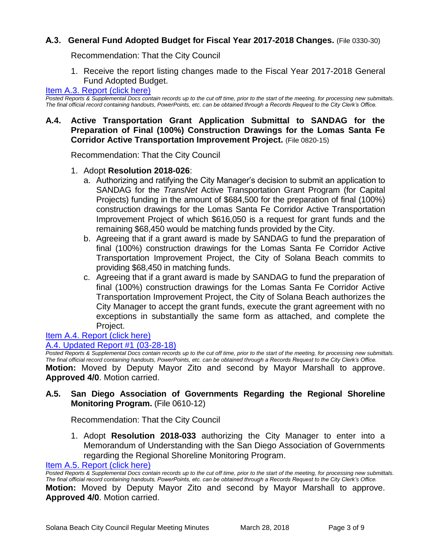## **A.3. General Fund Adopted Budget for Fiscal Year 2017-2018 Changes.** (File 0330-30)

Recommendation: That the City Council

1. Receive the report listing changes made to the Fiscal Year 2017-2018 General Fund Adopted Budget.

#### [Item A.3. Report \(click here\)](https://solanabeach.govoffice3.com/vertical/Sites/%7B840804C2-F869-4904-9AE3-720581350CE7%7D/uploads/Item_A.3._Report_(click_here)_-_3-28-18.PDF)

*Posted Reports & Supplemental Docs contain records up to the cut off time, prior to the start of the meeting, for processing new submittals. The final official record containing handouts, PowerPoints, etc. can be obtained through a Records Request to the City Clerk's Office.*

## **A.4. Active Transportation Grant Application Submittal to SANDAG for the Preparation of Final (100%) Construction Drawings for the Lomas Santa Fe Corridor Active Transportation Improvement Project.** (File 0820-15)

Recommendation: That the City Council

- 1. Adopt **Resolution 2018-026**:
	- a. Authorizing and ratifying the City Manager's decision to submit an application to SANDAG for the *TransNet* Active Transportation Grant Program (for Capital Projects) funding in the amount of \$684,500 for the preparation of final (100%) construction drawings for the Lomas Santa Fe Corridor Active Transportation Improvement Project of which \$616,050 is a request for grant funds and the remaining \$68,450 would be matching funds provided by the City.
	- b. Agreeing that if a grant award is made by SANDAG to fund the preparation of final (100%) construction drawings for the Lomas Santa Fe Corridor Active Transportation Improvement Project, the City of Solana Beach commits to providing \$68,450 in matching funds.
	- c. Agreeing that if a grant award is made by SANDAG to fund the preparation of final (100%) construction drawings for the Lomas Santa Fe Corridor Active Transportation Improvement Project, the City of Solana Beach authorizes the City Manager to accept the grant funds, execute the grant agreement with no exceptions in substantially the same form as attached, and complete the Project.

## [Item A.4. Report \(click here\)](https://solanabeach.govoffice3.com/vertical/Sites/%7B840804C2-F869-4904-9AE3-720581350CE7%7D/uploads/Item_A.4._Report_(click_here)_-_3-28-18.PDF)

## [A.4. Updated Report #1 \(03-28-18\)](https://solanabeach.govoffice3.com/vertical/Sites/%7B840804C2-F869-4904-9AE3-720581350CE7%7D/uploads/A.4._Updated_Report_1_-_03-28-18.pdf)

*Posted Reports & Supplemental Docs contain records up to the cut off time, prior to the start of the meeting, for processing new submittals. The final official record containing handouts, PowerPoints, etc. can be obtained through a Records Request to the City Clerk's Office.* **Motion:** Moved by Deputy Mayor Zito and second by Mayor Marshall to approve. **Approved 4/0**. Motion carried.

## **A.5. San Diego Association of Governments Regarding the Regional Shoreline Monitoring Program.** (File 0610-12)

Recommendation: That the City Council

1. Adopt **Resolution 2018-033** authorizing the City Manager to enter into a Memorandum of Understanding with the San Diego Association of Governments regarding the Regional Shoreline Monitoring Program.

[Item A.5. Report \(click here\)](https://solanabeach.govoffice3.com/vertical/Sites/%7B840804C2-F869-4904-9AE3-720581350CE7%7D/uploads/Item_A.5._Report_(click_here)_-_3-28-18.PDF)

*Posted Reports & Supplemental Docs contain records up to the cut off time, prior to the start of the meeting, for processing new submittals. The final official record containing handouts, PowerPoints, etc. can be obtained through a Records Request to the City Clerk's Office.* **Motion:** Moved by Deputy Mayor Zito and second by Mayor Marshall to approve. **Approved 4/0**. Motion carried.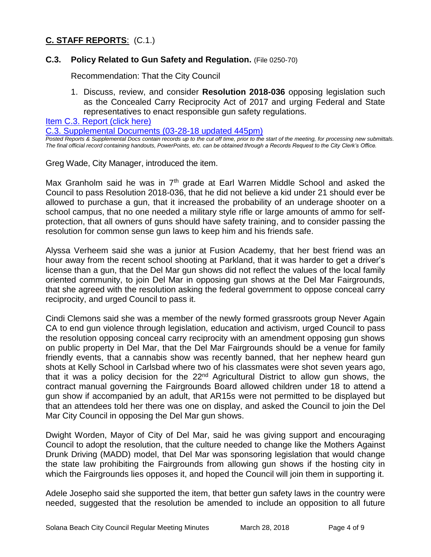## **C. STAFF REPORTS**: (C.1.)

## **C.3. Policy Related to Gun Safety and Regulation.** (File 0250-70)

Recommendation: That the City Council

1. Discuss, review, and consider **Resolution 2018-036** opposing legislation such as the Concealed Carry Reciprocity Act of 2017 and urging Federal and State representatives to enact responsible gun safety regulations.

[Item C.3. Report \(click here\)](https://solanabeach.govoffice3.com/vertical/Sites/%7B840804C2-F869-4904-9AE3-720581350CE7%7D/uploads/Item_C.3._Report_(click_here)_-_3-28-18.PDF)

[C.3. Supplemental Documents \(03-28-18 updated 445pm\)](https://solanabeach.govoffice3.com/vertical/Sites/%7B840804C2-F869-4904-9AE3-720581350CE7%7D/uploads/C.3._Supplemental_Documents_(03-28_updated_440pm).PDF)

*Posted Reports & Supplemental Docs contain records up to the cut off time, prior to the start of the meeting, for processing new submittals. The final official record containing handouts, PowerPoints, etc. can be obtained through a Records Request to the City Clerk's Office.*

Greg Wade, City Manager, introduced the item.

Max Granholm said he was in  $7<sup>th</sup>$  grade at Earl Warren Middle School and asked the Council to pass Resolution 2018-036, that he did not believe a kid under 21 should ever be allowed to purchase a gun, that it increased the probability of an underage shooter on a school campus, that no one needed a military style rifle or large amounts of ammo for selfprotection, that all owners of guns should have safety training, and to consider passing the resolution for common sense gun laws to keep him and his friends safe.

Alyssa Verheem said she was a junior at Fusion Academy, that her best friend was an hour away from the recent school shooting at Parkland, that it was harder to get a driver's license than a gun, that the Del Mar gun shows did not reflect the values of the local family oriented community, to join Del Mar in opposing gun shows at the Del Mar Fairgrounds, that she agreed with the resolution asking the federal government to oppose conceal carry reciprocity, and urged Council to pass it.

Cindi Clemons said she was a member of the newly formed grassroots group Never Again CA to end gun violence through legislation, education and activism, urged Council to pass the resolution opposing conceal carry reciprocity with an amendment opposing gun shows on public property in Del Mar, that the Del Mar Fairgrounds should be a venue for family friendly events, that a cannabis show was recently banned, that her nephew heard gun shots at Kelly School in Carlsbad where two of his classmates were shot seven years ago, that it was a policy decision for the  $22<sup>nd</sup>$  Agricultural District to allow gun shows, the contract manual governing the Fairgrounds Board allowed children under 18 to attend a gun show if accompanied by an adult, that AR15s were not permitted to be displayed but that an attendees told her there was one on display, and asked the Council to join the Del Mar City Council in opposing the Del Mar gun shows.

Dwight Worden, Mayor of City of Del Mar, said he was giving support and encouraging Council to adopt the resolution, that the culture needed to change like the Mothers Against Drunk Driving (MADD) model, that Del Mar was sponsoring legislation that would change the state law prohibiting the Fairgrounds from allowing gun shows if the hosting city in which the Fairgrounds lies opposes it, and hoped the Council will join them in supporting it.

Adele Josepho said she supported the item, that better gun safety laws in the country were needed, suggested that the resolution be amended to include an opposition to all future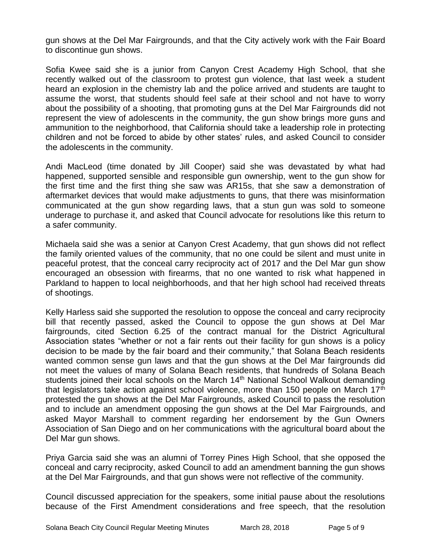gun shows at the Del Mar Fairgrounds, and that the City actively work with the Fair Board to discontinue gun shows.

Sofia Kwee said she is a junior from Canyon Crest Academy High School, that she recently walked out of the classroom to protest gun violence, that last week a student heard an explosion in the chemistry lab and the police arrived and students are taught to assume the worst, that students should feel safe at their school and not have to worry about the possibility of a shooting, that promoting guns at the Del Mar Fairgrounds did not represent the view of adolescents in the community, the gun show brings more guns and ammunition to the neighborhood, that California should take a leadership role in protecting children and not be forced to abide by other states' rules, and asked Council to consider the adolescents in the community.

Andi MacLeod (time donated by Jill Cooper) said she was devastated by what had happened, supported sensible and responsible gun ownership, went to the gun show for the first time and the first thing she saw was AR15s, that she saw a demonstration of aftermarket devices that would make adjustments to guns, that there was misinformation communicated at the gun show regarding laws, that a stun gun was sold to someone underage to purchase it, and asked that Council advocate for resolutions like this return to a safer community.

Michaela said she was a senior at Canyon Crest Academy, that gun shows did not reflect the family oriented values of the community, that no one could be silent and must unite in peaceful protest, that the conceal carry reciprocity act of 2017 and the Del Mar gun show encouraged an obsession with firearms, that no one wanted to risk what happened in Parkland to happen to local neighborhoods, and that her high school had received threats of shootings.

Kelly Harless said she supported the resolution to oppose the conceal and carry reciprocity bill that recently passed, asked the Council to oppose the gun shows at Del Mar fairgrounds, cited Section 6.25 of the contract manual for the District Agricultural Association states "whether or not a fair rents out their facility for gun shows is a policy decision to be made by the fair board and their community," that Solana Beach residents wanted common sense gun laws and that the gun shows at the Del Mar fairgrounds did not meet the values of many of Solana Beach residents, that hundreds of Solana Beach students joined their local schools on the March 14<sup>th</sup> National School Walkout demanding that legislators take action against school violence, more than 150 people on March 17<sup>th</sup> protested the gun shows at the Del Mar Fairgrounds, asked Council to pass the resolution and to include an amendment opposing the gun shows at the Del Mar Fairgrounds, and asked Mayor Marshall to comment regarding her endorsement by the Gun Owners Association of San Diego and on her communications with the agricultural board about the Del Mar gun shows.

Priya Garcia said she was an alumni of Torrey Pines High School, that she opposed the conceal and carry reciprocity, asked Council to add an amendment banning the gun shows at the Del Mar Fairgrounds, and that gun shows were not reflective of the community.

Council discussed appreciation for the speakers, some initial pause about the resolutions because of the First Amendment considerations and free speech, that the resolution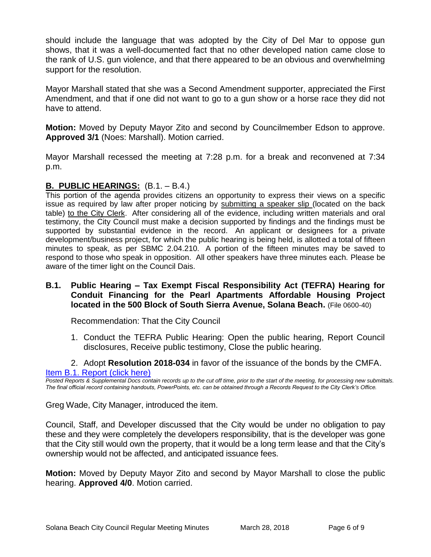should include the language that was adopted by the City of Del Mar to oppose gun shows, that it was a well-documented fact that no other developed nation came close to the rank of U.S. gun violence, and that there appeared to be an obvious and overwhelming support for the resolution.

Mayor Marshall stated that she was a Second Amendment supporter, appreciated the First Amendment, and that if one did not want to go to a gun show or a horse race they did not have to attend.

**Motion:** Moved by Deputy Mayor Zito and second by Councilmember Edson to approve. **Approved 3/1** (Noes: Marshall). Motion carried.

Mayor Marshall recessed the meeting at 7:28 p.m. for a break and reconvened at 7:34 p.m.

## **B. PUBLIC HEARINGS:** (B.1. – B.4.)

This portion of the agenda provides citizens an opportunity to express their views on a specific issue as required by law after proper noticing by submitting a speaker slip (located on the back table) to the City Clerk. After considering all of the evidence, including written materials and oral testimony, the City Council must make a decision supported by findings and the findings must be supported by substantial evidence in the record. An applicant or designees for a private development/business project, for which the public hearing is being held, is allotted a total of fifteen minutes to speak, as per SBMC 2.04.210. A portion of the fifteen minutes may be saved to respond to those who speak in opposition. All other speakers have three minutes each. Please be aware of the timer light on the Council Dais.

## **B.1. Public Hearing – Tax Exempt Fiscal Responsibility Act (TEFRA) Hearing for Conduit Financing for the Pearl Apartments Affordable Housing Project located in the 500 Block of South Sierra Avenue, Solana Beach.** (File 0600-40)

Recommendation: That the City Council

- 1. Conduct the TEFRA Public Hearing: Open the public hearing, Report Council disclosures, Receive public testimony, Close the public hearing.
- 2. Adopt **Resolution 2018-034** in favor of the issuance of the bonds by the CMFA. [Item B.1. Report \(click here\)](https://solanabeach.govoffice3.com/vertical/Sites/%7B840804C2-F869-4904-9AE3-720581350CE7%7D/uploads/Item_B.1._Report_(click_here)_-_3-28-18.PDF)

*Posted Reports & Supplemental Docs contain records up to the cut off time, prior to the start of the meeting, for processing new submittals. The final official record containing handouts, PowerPoints, etc. can be obtained through a Records Request to the City Clerk's Office.*

Greg Wade, City Manager, introduced the item.

Council, Staff, and Developer discussed that the City would be under no obligation to pay these and they were completely the developers responsibility, that is the developer was gone that the City still would own the property, that it would be a long term lease and that the City's ownership would not be affected, and anticipated issuance fees.

**Motion:** Moved by Deputy Mayor Zito and second by Mayor Marshall to close the public hearing. **Approved 4/0**. Motion carried.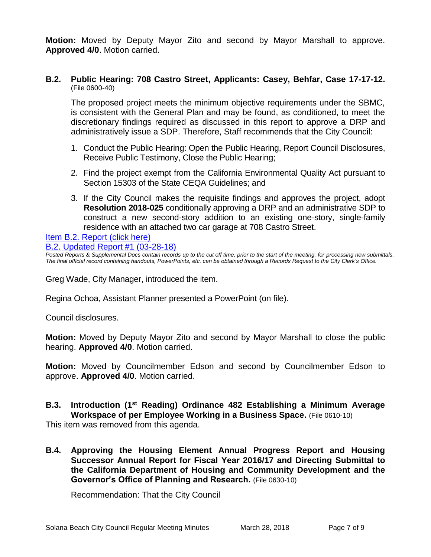**Motion:** Moved by Deputy Mayor Zito and second by Mayor Marshall to approve. **Approved 4/0**. Motion carried.

## **B.2. Public Hearing: 708 Castro Street, Applicants: Casey, Behfar, Case 17-17-12.** (File 0600-40)

The proposed project meets the minimum objective requirements under the SBMC, is consistent with the General Plan and may be found, as conditioned, to meet the discretionary findings required as discussed in this report to approve a DRP and administratively issue a SDP. Therefore, Staff recommends that the City Council:

- 1. Conduct the Public Hearing: Open the Public Hearing, Report Council Disclosures, Receive Public Testimony, Close the Public Hearing;
- 2. Find the project exempt from the California Environmental Quality Act pursuant to Section 15303 of the State CEQA Guidelines; and
- 3. If the City Council makes the requisite findings and approves the project, adopt **Resolution 2018-025** conditionally approving a DRP and an administrative SDP to construct a new second-story addition to an existing one-story, single-family residence with an attached two car garage at 708 Castro Street.

#### [Item B.2. Report \(click here\)](https://solanabeach.govoffice3.com/vertical/Sites/%7B840804C2-F869-4904-9AE3-720581350CE7%7D/uploads/Item_B.2._Report_(click_here)_-_3-28-18.PDF)

[B.2. Updated Report #1 \(03-28-18\)](https://solanabeach.govoffice3.com/vertical/Sites/%7B840804C2-F869-4904-9AE3-720581350CE7%7D/uploads/B.2._Updated_Report_1_-_03-28-18.pdf)

**Posted Reports & Supplemental Docs contain records up to the cut off time, prior to the start of the meeting, for processing new submittals.** *The final official record containing handouts, PowerPoints, etc. can be obtained through a Records Request to the City Clerk's Office.*

Greg Wade, City Manager, introduced the item.

Regina Ochoa, Assistant Planner presented a PowerPoint (on file).

Council disclosures.

**Motion:** Moved by Deputy Mayor Zito and second by Mayor Marshall to close the public hearing. **Approved 4/0**. Motion carried.

**Motion:** Moved by Councilmember Edson and second by Councilmember Edson to approve. **Approved 4/0**. Motion carried.

## **B.3. Introduction (1st Reading) Ordinance 482 Establishing a Minimum Average Workspace of per Employee Working in a Business Space.** (File 0610-10)

This item was removed from this agenda.

**B.4. Approving the Housing Element Annual Progress Report and Housing Successor Annual Report for Fiscal Year 2016/17 and Directing Submittal to the California Department of Housing and Community Development and the Governor's Office of Planning and Research.** (File 0630-10)

Recommendation: That the City Council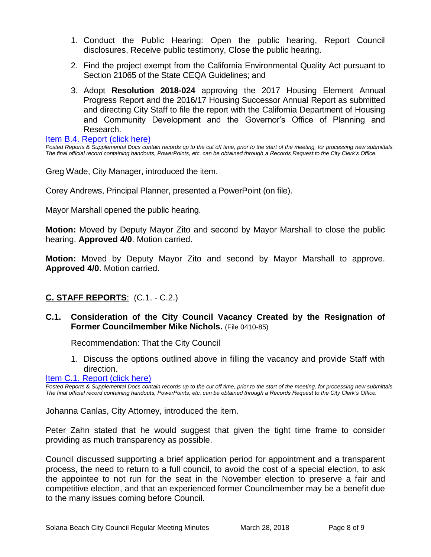- 1. Conduct the Public Hearing: Open the public hearing, Report Council disclosures, Receive public testimony, Close the public hearing.
- 2. Find the project exempt from the California Environmental Quality Act pursuant to Section 21065 of the State CEQA Guidelines; and
- 3. Adopt **Resolution 2018-024** approving the 2017 Housing Element Annual Progress Report and the 2016/17 Housing Successor Annual Report as submitted and directing City Staff to file the report with the California Department of Housing and Community Development and the Governor's Office of Planning and Research.

[Item B.4. Report \(click here\)](https://solanabeach.govoffice3.com/vertical/Sites/%7B840804C2-F869-4904-9AE3-720581350CE7%7D/uploads/Item_B.4._Report_(click_here)_-_3-28-18.PDF)

*Posted Reports & Supplemental Docs contain records up to the cut off time, prior to the start of the meeting, for processing new submittals. The final official record containing handouts, PowerPoints, etc. can be obtained through a Records Request to the City Clerk's Office.*

Greg Wade, City Manager, introduced the item.

Corey Andrews, Principal Planner, presented a PowerPoint (on file).

Mayor Marshall opened the public hearing.

**Motion:** Moved by Deputy Mayor Zito and second by Mayor Marshall to close the public hearing. **Approved 4/0**. Motion carried.

**Motion:** Moved by Deputy Mayor Zito and second by Mayor Marshall to approve. **Approved 4/0**. Motion carried.

## **C. STAFF REPORTS**: (C.1. - C.2.)

## **C.1. Consideration of the City Council Vacancy Created by the Resignation of Former Councilmember Mike Nichols.** (File 0410-85)

Recommendation: That the City Council

1. Discuss the options outlined above in filling the vacancy and provide Staff with direction.

[Item C.1. Report \(click here\)](https://solanabeach.govoffice3.com/vertical/Sites/%7B840804C2-F869-4904-9AE3-720581350CE7%7D/uploads/Item_C.1._Report_(click_here)_-_3-28-18.PDF)

*Posted Reports & Supplemental Docs contain records up to the cut off time, prior to the start of the meeting, for processing new submittals. The final official record containing handouts, PowerPoints, etc. can be obtained through a Records Request to the City Clerk's Office.*

Johanna Canlas, City Attorney, introduced the item.

Peter Zahn stated that he would suggest that given the tight time frame to consider providing as much transparency as possible.

Council discussed supporting a brief application period for appointment and a transparent process, the need to return to a full council, to avoid the cost of a special election, to ask the appointee to not run for the seat in the November election to preserve a fair and competitive election, and that an experienced former Councilmember may be a benefit due to the many issues coming before Council.